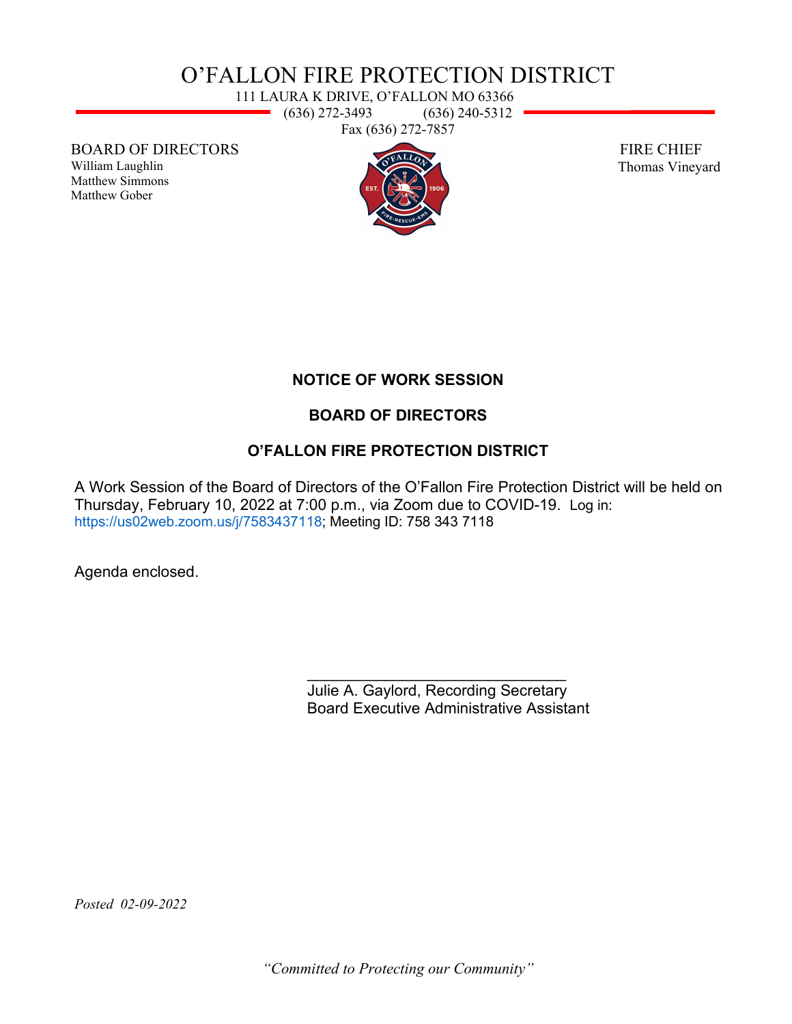# O'FALLON FIRE PROTECTION DISTRICT

111 LAURA K DRIVE, O'FALLON MO 63366  $(636)$  272-3493  $(636)$  240-5312 Fax (636) 272-7857

BOARD OF DIRECTORS

William Laughlin Matthew Simmons Matthew Gober



 FIRE CHIEF Thomas Vineyard

#### **NOTICE OF WORK SESSION**

#### **BOARD OF DIRECTORS**

#### **O'FALLON FIRE PROTECTION DISTRICT**

A Work Session of the Board of Directors of the O'Fallon Fire Protection District will be held on Thursday, February 10, 2022 at 7:00 p.m., via Zoom due to COVID-19. Log in: [https://us02web.zoom.us/j/7583437118;](https://us02web.zoom.us/j/7583437118) Meeting ID: 758 343 7118

Agenda enclosed.

\_\_\_\_\_\_\_\_\_\_\_\_\_\_\_\_\_\_\_\_\_\_\_\_\_\_\_\_\_\_ Julie A. Gaylord, Recording Secretary Board Executive Administrative Assistant

*Posted 02-09-2022* 

*"Committed to Protecting our Community"*